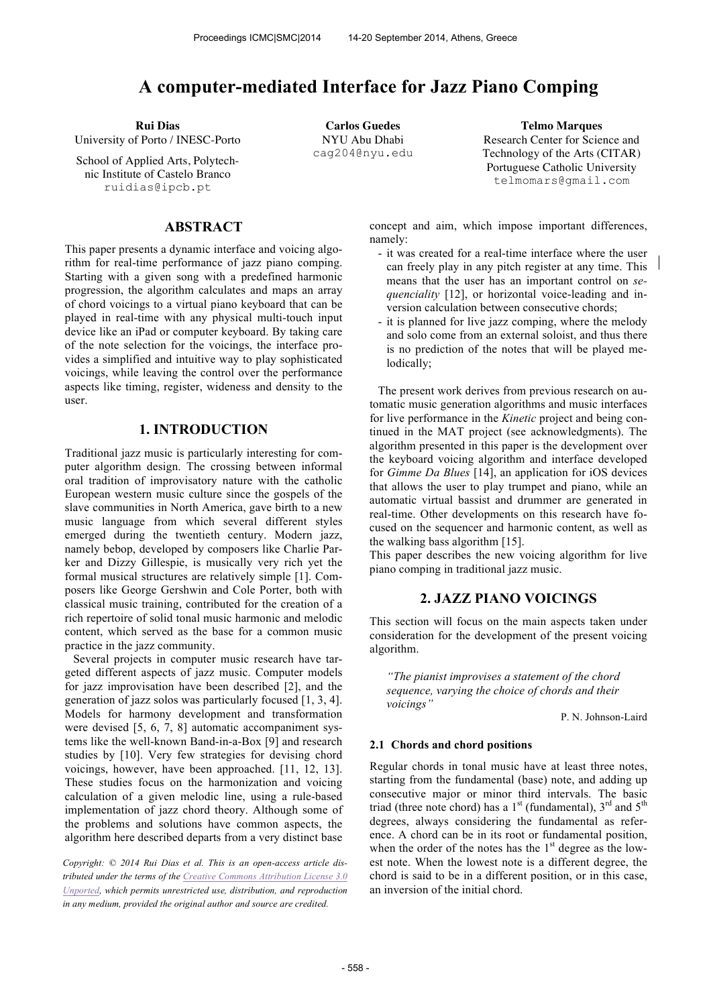# **A computer-mediated Interface for Jazz Piano Comping**

University of Porto / INESC-Porto

School of Applied Arts, Polytechnic Institute of Castelo Branco ruidias@ipcb.pt

### **ABSTRACT**

This paper presents a dynamic interface and voicing algorithm for real-time performance of jazz piano comping. Starting with a given song with a predefined harmonic progression, the algorithm calculates and maps an array of chord voicings to a virtual piano keyboard that can be played in real-time with any physical multi-touch input device like an iPad or computer keyboard. By taking care of the note selection for the voicings, the interface provides a simplified and intuitive way to play sophisticated voicings, while leaving the control over the performance aspects like timing, register, wideness and density to the user.

### **1. INTRODUCTION**

Traditional jazz music is particularly interesting for computer algorithm design. The crossing between informal oral tradition of improvisatory nature with the catholic European western music culture since the gospels of the slave communities in North America, gave birth to a new music language from which several different styles emerged during the twentieth century. Modern jazz, namely bebop, developed by composers like Charlie Parker and Dizzy Gillespie, is musically very rich yet the formal musical structures are relatively simple [1]. Composers like George Gershwin and Cole Porter, both with classical music training, contributed for the creation of a rich repertoire of solid tonal music harmonic and melodic content, which served as the base for a common music practice in the jazz community.

Several projects in computer music research have targeted different aspects of jazz music. Computer models for jazz improvisation have been described [2], and the generation of jazz solos was particularly focused [1, 3, 4]. Models for harmony development and transformation were devised [5, 6, 7, 8] automatic accompaniment systems like the well-known Band-in-a-Box [9] and research studies by [10]. Very few strategies for devising chord voicings, however, have been approached. [11, 12, 13]. These studies focus on the harmonization and voicing calculation of a given melodic line, using a rule-based implementation of jazz chord theory. Although some of the problems and solutions have common aspects, the algorithm here described departs from a very distinct base

*Copyright: © 2014 Rui Dias et al. This is an open-access article distributed under the terms of the Creative Commons Attribution License 3.0 Unported, which permits unrestricted use, distribution, and reproduction in any medium, provided the original author and source are credited.*

NYU Abu Dhabi cag204@nyu.edu

**Rui Dias Carlos Guedes Telmo Marques** Research Center for Science and Technology of the Arts (CITAR) Portuguese Catholic University telmomars@gmail.com

> concept and aim, which impose important differences, namely:

- it was created for a real-time interface where the user can freely play in any pitch register at any time. This means that the user has an important control on *sequenciality* [12], or horizontal voice-leading and inversion calculation between consecutive chords;
- it is planned for live jazz comping, where the melody and solo come from an external soloist, and thus there is no prediction of the notes that will be played melodically;

The present work derives from previous research on automatic music generation algorithms and music interfaces for live performance in the *Kinetic* project and being continued in the MAT project (see acknowledgments). The algorithm presented in this paper is the development over the keyboard voicing algorithm and interface developed for *Gimme Da Blues* [14], an application for iOS devices that allows the user to play trumpet and piano, while an automatic virtual bassist and drummer are generated in real-time. Other developments on this research have focused on the sequencer and harmonic content, as well as the walking bass algorithm [15].

This paper describes the new voicing algorithm for live piano comping in traditional jazz music.

## **2. JAZZ PIANO VOICINGS**

This section will focus on the main aspects taken under consideration for the development of the present voicing algorithm.

*"The pianist improvises a statement of the chord sequence, varying the choice of chords and their voicings"*

P. N. Johnson-Laird

### **2.1 Chords and chord positions**

Regular chords in tonal music have at least three notes, starting from the fundamental (base) note, and adding up consecutive major or minor third intervals. The basic triad (three note chord) has a  $1<sup>st</sup>$  (fundamental),  $3<sup>rd</sup>$  and  $5<sup>th</sup>$ degrees, always considering the fundamental as reference. A chord can be in its root or fundamental position, when the order of the notes has the  $1<sup>st</sup>$  degree as the lowest note. When the lowest note is a different degree, the chord is said to be in a different position, or in this case, an inversion of the initial chord.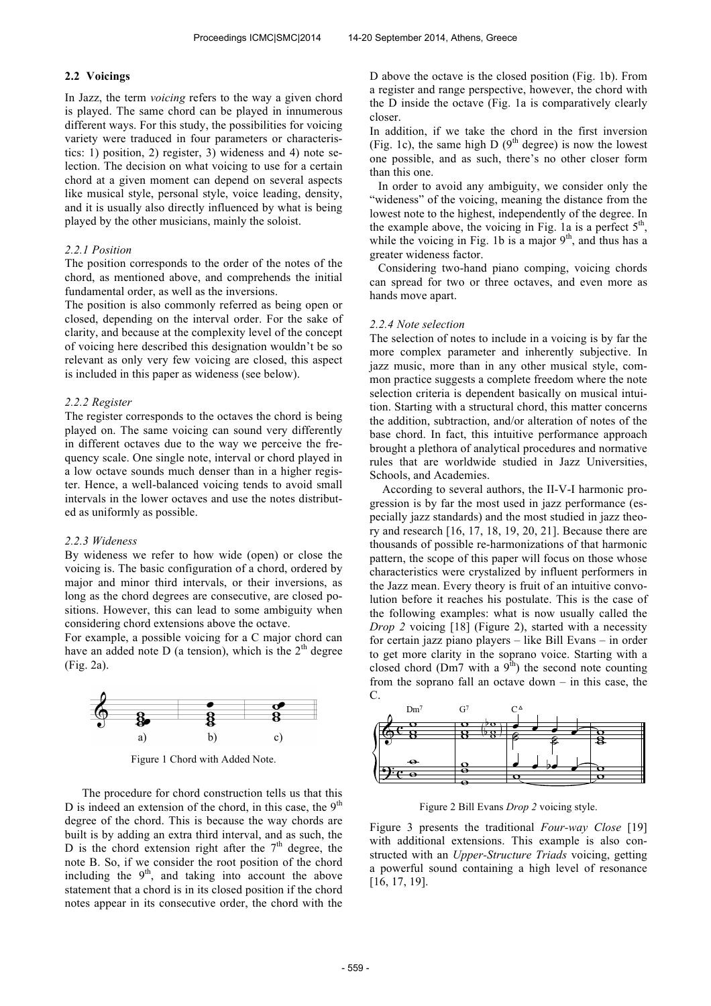### **2.2 Voicings**

In Jazz, the term *voicing* refers to the way a given chord is played. The same chord can be played in innumerous different ways. For this study, the possibilities for voicing variety were traduced in four parameters or characteristics: 1) position, 2) register, 3) wideness and 4) note selection. The decision on what voicing to use for a certain chord at a given moment can depend on several aspects like musical style, personal style, voice leading, density, and it is usually also directly influenced by what is being played by the other musicians, mainly the soloist.

### *2.2.1 Position*

The position corresponds to the order of the notes of the chord, as mentioned above, and comprehends the initial fundamental order, as well as the inversions.

The position is also commonly referred as being open or closed, depending on the interval order. For the sake of clarity, and because at the complexity level of the concept of voicing here described this designation wouldn't be so relevant as only very few voicing are closed, this aspect is included in this paper as wideness (see below).

### *2.2.2 Register*

The register corresponds to the octaves the chord is being played on. The same voicing can sound very differently in different octaves due to the way we perceive the frequency scale. One single note, interval or chord played in a low octave sounds much denser than in a higher register. Hence, a well-balanced voicing tends to avoid small intervals in the lower octaves and use the notes distributed as uniformly as possible.

#### *2.2.3 Wideness*

By wideness we refer to how wide (open) or close the voicing is. The basic configuration of a chord, ordered by major and minor third intervals, or their inversions, as long as the chord degrees are consecutive, are closed positions. However, this can lead to some ambiguity when considering chord extensions above the octave.

For example, a possible voicing for a C major chord can have an added note D (a tension), which is the  $2<sup>th</sup>$  degree (Fig. 2a).



Figure 1 Chord with Added Note.

The procedure for chord construction tells us that this D is indeed an extension of the chord, in this case, the  $9<sup>th</sup>$ degree of the chord. This is because the way chords are built is by adding an extra third interval, and as such, the D is the chord extension right after the  $7<sup>th</sup>$  degree, the note B. So, if we consider the root position of the chord including the  $9<sup>th</sup>$ , and taking into account the above statement that a chord is in its closed position if the chord notes appear in its consecutive order, the chord with the D above the octave is the closed position (Fig. 1b). From a register and range perspective, however, the chord with the D inside the octave (Fig. 1a is comparatively clearly closer.

In addition, if we take the chord in the first inversion (Fig. 1c), the same high D  $(9<sup>th</sup>$  degree) is now the lowest one possible, and as such, there's no other closer form than this one.

In order to avoid any ambiguity, we consider only the "wideness" of the voicing, meaning the distance from the lowest note to the highest, independently of the degree. In the example above, the voicing in Fig. 1a is a perfect  $5<sup>th</sup>$ , while the voicing in Fig. 1b is a major  $9<sup>th</sup>$ , and thus has a greater wideness factor.

Considering two-hand piano comping, voicing chords can spread for two or three octaves, and even more as hands move apart.

### *2.2.4 Note selection*

The selection of notes to include in a voicing is by far the more complex parameter and inherently subjective. In jazz music, more than in any other musical style, common practice suggests a complete freedom where the note selection criteria is dependent basically on musical intuition. Starting with a structural chord, this matter concerns the addition, subtraction, and/or alteration of notes of the base chord. In fact, this intuitive performance approach brought a plethora of analytical procedures and normative rules that are worldwide studied in Jazz Universities, Schools, and Academies.

According to several authors, the II-V-I harmonic progression is by far the most used in jazz performance (especially jazz standards) and the most studied in jazz theory and research [16, 17, 18, 19, 20, 21]. Because there are thousands of possible re-harmonizations of that harmonic pattern, the scope of this paper will focus on those whose characteristics were crystalized by influent performers in the Jazz mean. Every theory is fruit of an intuitive convolution before it reaches his postulate. This is the case of the following examples: what is now usually called the *Drop 2* voicing [18] (Figure 2), started with a necessity for certain jazz piano players – like Bill Evans – in order to get more clarity in the soprano voice. Starting with a closed chord (Dm7 with a  $9<sup>th</sup>$ ) the second note counting from the soprano fall an octave down – in this case, the C.



Figure 2 Bill Evans *Drop 2* voicing style.

Figure 3 presents the traditional *Four-way Close* [19] with additional extensions. This example is also constructed with an *Upper-Structure Triads* voicing, getting a powerful sound containing a high level of resonance [16, 17, 19].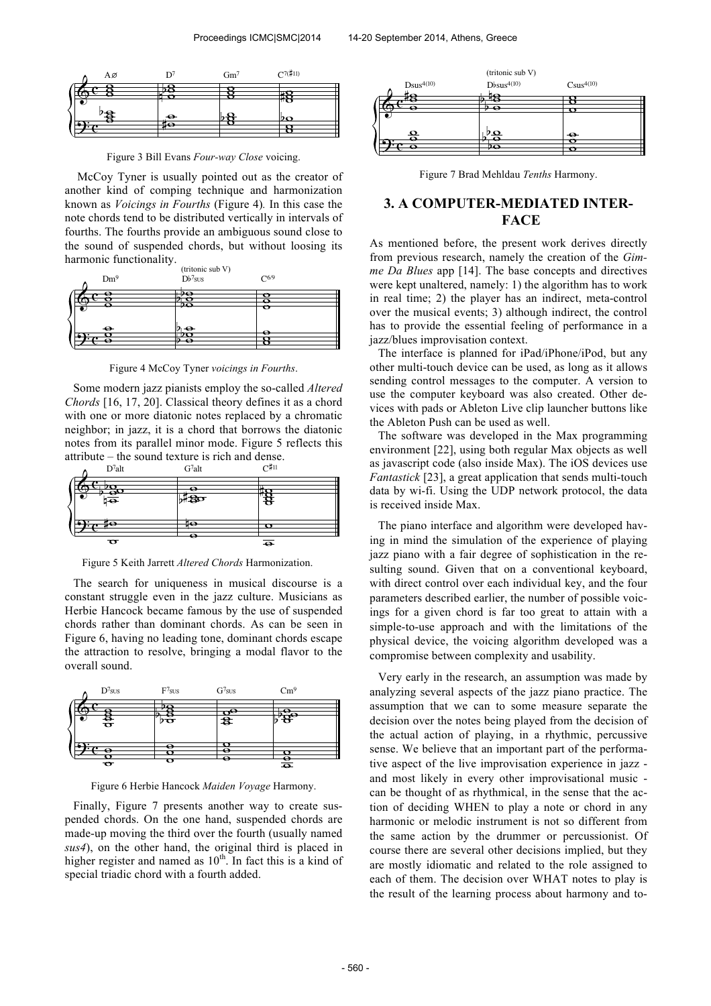| Αø |                | $Gm^7$ | $C^{7(\sharp 11)}$ |  |
|----|----------------|--------|--------------------|--|
|    |                |        |                    |  |
|    |                |        |                    |  |
| ъ. | $\frac{1}{48}$ |        | lÞΩ                |  |
|    |                |        |                    |  |

Figure 3 Bill Evans *Four-way Close* voicing.

McCoy Tyner is usually pointed out as the creator of another kind of comping technique and harmonization known as *Voicings in Fourths* (Figure 4)*.* In this case the note chords tend to be distributed vertically in intervals of fourths. The fourths provide an ambiguous sound close to the sound of suspended chords, but without loosing its harmonic functionality.



Figure 4 McCoy Tyner *voicings in Fourths*.

Some modern jazz pianists employ the so-called *Altered Chords* [16, 17, 20]. Classical theory defines it as a chord with one or more diatonic notes replaced by a chromatic neighbor; in jazz, it is a chord that borrows the diatonic notes from its parallel minor mode. Figure 5 reflects this attribute – the sound texture is rich and dense.



Figure 5 Keith Jarrett *Altered Chords* Harmonization.

The search for uniqueness in musical discourse is a constant struggle even in the jazz culture. Musicians as Herbie Hancock became famous by the use of suspended chords rather than dominant chords. As can be seen in Figure 6, having no leading tone, dominant chords escape the attraction to resolve, bringing a modal flavor to the overall sound.



Figure 6 Herbie Hancock *Maiden Voyage* Harmony.

Finally, Figure 7 presents another way to create suspended chords. On the one hand, suspended chords are made-up moving the third over the fourth (usually named *sus4*), on the other hand, the original third is placed in higher register and named as  $10<sup>th</sup>$ . In fact this is a kind of special triadic chord with a fourth added.



Figure 7 Brad Mehldau *Tenths* Harmony.

# **3. A COMPUTER-MEDIATED INTER-FACE**

As mentioned before, the present work derives directly from previous research, namely the creation of the *Gimme Da Blues* app [14]. The base concepts and directives were kept unaltered, namely: 1) the algorithm has to work in real time; 2) the player has an indirect, meta-control over the musical events; 3) although indirect, the control has to provide the essential feeling of performance in a jazz/blues improvisation context.

The interface is planned for iPad/iPhone/iPod, but any other multi-touch device can be used, as long as it allows sending control messages to the computer. A version to use the computer keyboard was also created. Other devices with pads or Ableton Live clip launcher buttons like the Ableton Push can be used as well.

The software was developed in the Max programming environment [22], using both regular Max objects as well as javascript code (also inside Max). The iOS devices use *Fantastick* [23], a great application that sends multi-touch data by wi-fi. Using the UDP network protocol, the data is received inside Max.

The piano interface and algorithm were developed having in mind the simulation of the experience of playing jazz piano with a fair degree of sophistication in the resulting sound. Given that on a conventional keyboard, with direct control over each individual key, and the four parameters described earlier, the number of possible voicings for a given chord is far too great to attain with a simple-to-use approach and with the limitations of the physical device, the voicing algorithm developed was a compromise between complexity and usability.

Very early in the research, an assumption was made by analyzing several aspects of the jazz piano practice. The assumption that we can to some measure separate the decision over the notes being played from the decision of the actual action of playing, in a rhythmic, percussive sense. We believe that an important part of the performative aspect of the live improvisation experience in jazz and most likely in every other improvisational music can be thought of as rhythmical, in the sense that the action of deciding WHEN to play a note or chord in any harmonic or melodic instrument is not so different from the same action by the drummer or percussionist. Of course there are several other decisions implied, but they are mostly idiomatic and related to the role assigned to each of them. The decision over WHAT notes to play is the result of the learning process about harmony and to-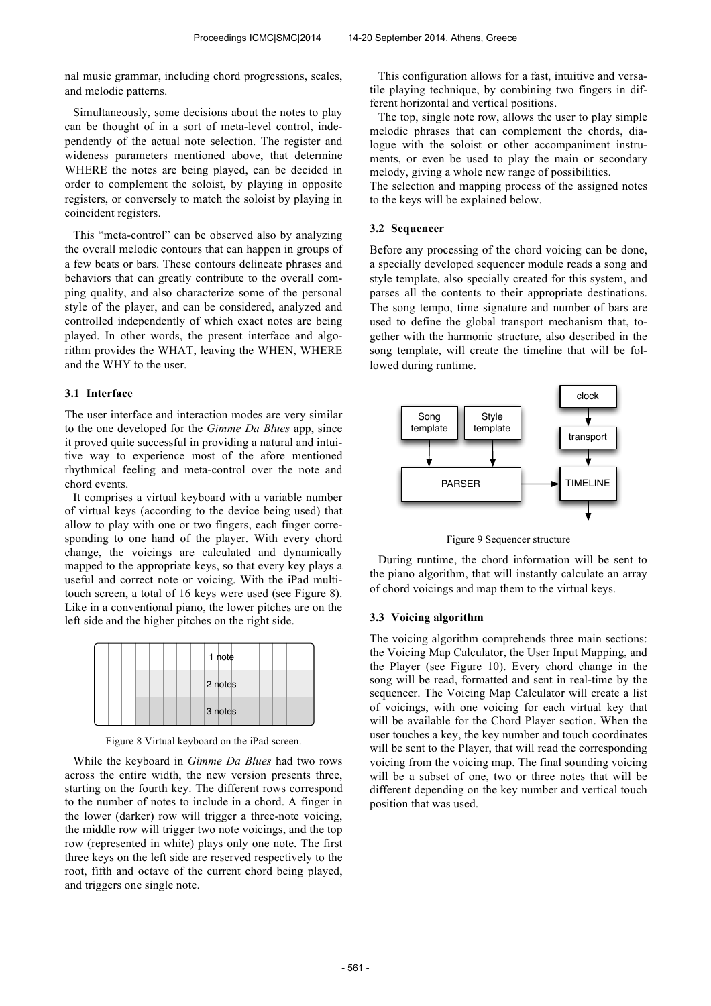nal music grammar, including chord progressions, scales, and melodic patterns.

Simultaneously, some decisions about the notes to play can be thought of in a sort of meta-level control, independently of the actual note selection. The register and wideness parameters mentioned above, that determine WHERE the notes are being played, can be decided in order to complement the soloist, by playing in opposite registers, or conversely to match the soloist by playing in coincident registers.

This "meta-control" can be observed also by analyzing the overall melodic contours that can happen in groups of a few beats or bars. These contours delineate phrases and behaviors that can greatly contribute to the overall comping quality, and also characterize some of the personal style of the player, and can be considered, analyzed and controlled independently of which exact notes are being played. In other words, the present interface and algorithm provides the WHAT, leaving the WHEN, WHERE and the WHY to the user.

### **3.1 Interface**

The user interface and interaction modes are very similar to the one developed for the *Gimme Da Blues* app, since it proved quite successful in providing a natural and intuitive way to experience most of the afore mentioned rhythmical feeling and meta-control over the note and chord events.

It comprises a virtual keyboard with a variable number of virtual keys (according to the device being used) that allow to play with one or two fingers, each finger corresponding to one hand of the player. With every chord change, the voicings are calculated and dynamically mapped to the appropriate keys, so that every key plays a useful and correct note or voicing. With the iPad multitouch screen, a total of 16 keys were used (see Figure 8). Like in a conventional piano, the lower pitches are on the left side and the higher pitches on the right side.

|  | 1 note  |  |
|--|---------|--|
|  | 2 notes |  |
|  | 3 notes |  |

Figure 8 Virtual keyboard on the iPad screen.

While the keyboard in *Gimme Da Blues* had two rows across the entire width, the new version presents three, starting on the fourth key. The different rows correspond to the number of notes to include in a chord. A finger in the lower (darker) row will trigger a three-note voicing, the middle row will trigger two note voicings, and the top row (represented in white) plays only one note. The first three keys on the left side are reserved respectively to the root, fifth and octave of the current chord being played, and triggers one single note.

This configuration allows for a fast, intuitive and versatile playing technique, by combining two fingers in different horizontal and vertical positions.

The top, single note row, allows the user to play simple melodic phrases that can complement the chords, dialogue with the soloist or other accompaniment instruments, or even be used to play the main or secondary melody, giving a whole new range of possibilities.

The selection and mapping process of the assigned notes to the keys will be explained below.

### **3.2 Sequencer**

Before any processing of the chord voicing can be done, a specially developed sequencer module reads a song and style template, also specially created for this system, and parses all the contents to their appropriate destinations. The song tempo, time signature and number of bars are used to define the global transport mechanism that, together with the harmonic structure, also described in the song template, will create the timeline that will be followed during runtime.



Figure 9 Sequencer structure

During runtime, the chord information will be sent to the piano algorithm, that will instantly calculate an array of chord voicings and map them to the virtual keys.

### **3.3 Voicing algorithm**

The voicing algorithm comprehends three main sections: the Voicing Map Calculator, the User Input Mapping, and the Player (see Figure 10). Every chord change in the song will be read, formatted and sent in real-time by the sequencer. The Voicing Map Calculator will create a list of voicings, with one voicing for each virtual key that will be available for the Chord Player section. When the user touches a key, the key number and touch coordinates will be sent to the Player, that will read the corresponding voicing from the voicing map. The final sounding voicing will be a subset of one, two or three notes that will be different depending on the key number and vertical touch position that was used.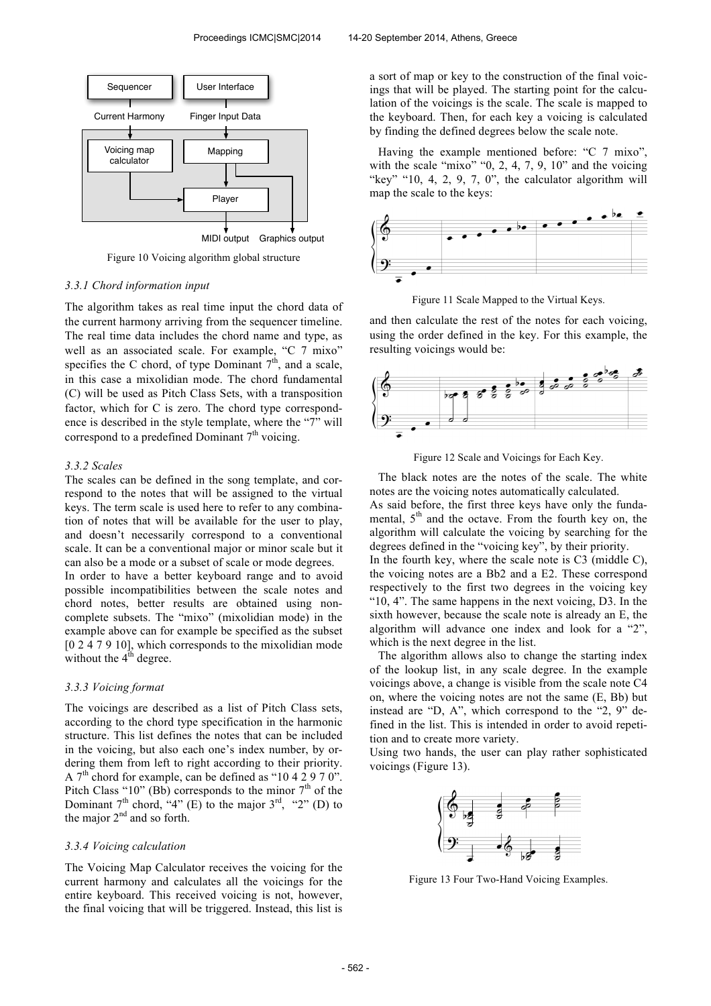

Figure 10 Voicing algorithm global structure

#### *3.3.1 Chord information input*

The algorithm takes as real time input the chord data of the current harmony arriving from the sequencer timeline. The real time data includes the chord name and type, as well as an associated scale. For example, "C 7 mixo" specifies the C chord, of type Dominant  $7<sup>th</sup>$ , and a scale, in this case a mixolidian mode. The chord fundamental (C) will be used as Pitch Class Sets, with a transposition factor, which for C is zero. The chord type correspondence is described in the style template, where the "7" will correspond to a predefined Dominant  $7<sup>th</sup>$  voicing.

#### *3.3.2 Scales*

The scales can be defined in the song template, and correspond to the notes that will be assigned to the virtual keys. The term scale is used here to refer to any combination of notes that will be available for the user to play, and doesn't necessarily correspond to a conventional scale. It can be a conventional major or minor scale but it can also be a mode or a subset of scale or mode degrees. In order to have a better keyboard range and to avoid possible incompatibilities between the scale notes and chord notes, better results are obtained using noncomplete subsets. The "mixo" (mixolidian mode) in the example above can for example be specified as the subset [0 2 4 7 9 10], which corresponds to the mixolidian mode without the  $4<sup>th</sup>$  degree.

#### *3.3.3 Voicing format*

The voicings are described as a list of Pitch Class sets, according to the chord type specification in the harmonic structure. This list defines the notes that can be included in the voicing, but also each one's index number, by ordering them from left to right according to their priority. A  $7<sup>th</sup>$  chord for example, can be defined as "10 4 2 9 7 0". Pitch Class " $10$ " (Bb) corresponds to the minor  $7<sup>th</sup>$  of the Dominant  $7<sup>th</sup>$  chord, "4" (E) to the major  $3<sup>rd</sup>$ , "2" (D) to the major  $2<sup>nd</sup>$  and so forth.

### *3.3.4 Voicing calculation*

The Voicing Map Calculator receives the voicing for the current harmony and calculates all the voicings for the entire keyboard. This received voicing is not, however, the final voicing that will be triggered. Instead, this list is

a sort of map or key to the construction of the final voicings that will be played. The starting point for the calculation of the voicings is the scale. The scale is mapped to the keyboard. Then, for each key a voicing is calculated by finding the defined degrees below the scale note.

Having the example mentioned before: "C 7 mixo", with the scale "mixo" " $0, 2, 4, 7, 9, 10$ " and the voicing "key" "10, 4, 2, 9, 7, 0", the calculator algorithm will map the scale to the keys:



Figure 11 Scale Mapped to the Virtual Keys.

and then calculate the rest of the notes for each voicing, using the order defined in the key. For this example, the resulting voicings would be:



Figure 12 Scale and Voicings for Each Key.

The black notes are the notes of the scale. The white notes are the voicing notes automatically calculated.

As said before, the first three keys have only the fundamental,  $5<sup>th</sup>$  and the octave. From the fourth key on, the algorithm will calculate the voicing by searching for the degrees defined in the "voicing key", by their priority. In the fourth key, where the scale note is C3 (middle C). the voicing notes are a Bb2 and a E2. These correspond respectively to the first two degrees in the voicing key "10, 4". The same happens in the next voicing, D3. In the sixth however, because the scale note is already an E, the algorithm will advance one index and look for a "2",

which is the next degree in the list. The algorithm allows also to change the starting index of the lookup list, in any scale degree. In the example voicings above, a change is visible from the scale note C4 on, where the voicing notes are not the same (E, Bb) but instead are "D, A", which correspond to the "2, 9" defined in the list. This is intended in order to avoid repetition and to create more variety.

Using two hands, the user can play rather sophisticated voicings (Figure 13).



Figure 13 Four Two-Hand Voicing Examples.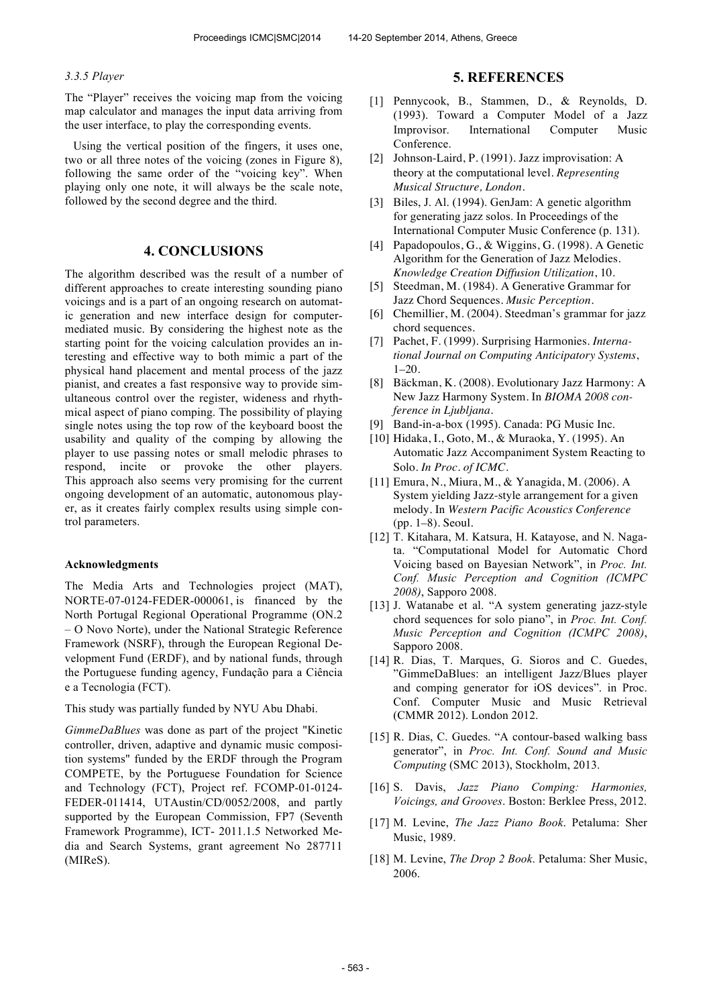### *3.3.5 Player*

The "Player" receives the voicing map from the voicing map calculator and manages the input data arriving from the user interface, to play the corresponding events.

Using the vertical position of the fingers, it uses one, two or all three notes of the voicing (zones in Figure 8), following the same order of the "voicing key". When playing only one note, it will always be the scale note, followed by the second degree and the third.

### **4. CONCLUSIONS**

The algorithm described was the result of a number of different approaches to create interesting sounding piano voicings and is a part of an ongoing research on automatic generation and new interface design for computermediated music. By considering the highest note as the starting point for the voicing calculation provides an interesting and effective way to both mimic a part of the physical hand placement and mental process of the jazz pianist, and creates a fast responsive way to provide simultaneous control over the register, wideness and rhythmical aspect of piano comping. The possibility of playing single notes using the top row of the keyboard boost the usability and quality of the comping by allowing the player to use passing notes or small melodic phrases to respond, incite or provoke the other players. This approach also seems very promising for the current ongoing development of an automatic, autonomous player, as it creates fairly complex results using simple control parameters.

### **Acknowledgments**

The Media Arts and Technologies project (MAT), NORTE-07-0124-FEDER-000061, is financed by the North Portugal Regional Operational Programme (ON.2 – O Novo Norte), under the National Strategic Reference Framework (NSRF), through the European Regional Development Fund (ERDF), and by national funds, through the Portuguese funding agency, Fundação para a Ciência e a Tecnologia (FCT).

This study was partially funded by NYU Abu Dhabi.

*GimmeDaBlues* was done as part of the project "Kinetic controller, driven, adaptive and dynamic music composition systems" funded by the ERDF through the Program COMPETE, by the Portuguese Foundation for Science and Technology (FCT), Project ref. FCOMP-01-0124- FEDER-011414, UTAustin/CD/0052/2008, and partly supported by the European Commission, FP7 (Seventh Framework Programme), ICT- 2011.1.5 Networked Media and Search Systems, grant agreement No 287711 (MIReS).

### **5. REFERENCES**

- [1] Pennycook, B., Stammen, D., & Reynolds, D. (1993). Toward a Computer Model of a Jazz Improvisor. International Computer Music Conference.
- [2] Johnson-Laird, P. (1991). Jazz improvisation: A theory at the computational level. *Representing Musical Structure, London*.
- [3] Biles, J. Al. (1994). GenJam: A genetic algorithm for generating jazz solos. In Proceedings of the International Computer Music Conference (p. 131).
- [4] Papadopoulos, G., & Wiggins, G. (1998). A Genetic Algorithm for the Generation of Jazz Melodies. *Knowledge Creation Diffusion Utilization*, 10.
- [5] Steedman, M. (1984). A Generative Grammar for Jazz Chord Sequences. *Music Perception*.
- [6] Chemillier, M. (2004). Steedman's grammar for jazz chord sequences.
- [7] Pachet, F. (1999). Surprising Harmonies. *International Journal on Computing Anticipatory Systems*, 1–20.
- [8] Bäckman, K. (2008). Evolutionary Jazz Harmony: A New Jazz Harmony System. In *BIOMA 2008 conference in Ljubljana*.
- [9] Band-in-a-box (1995). Canada: PG Music Inc.
- [10] Hidaka, I., Goto, M., & Muraoka, Y. (1995). An Automatic Jazz Accompaniment System Reacting to Solo. *In Proc. of ICMC*.
- [11] Emura, N., Miura, M., & Yanagida, M. (2006). A System yielding Jazz-style arrangement for a given melody. In *Western Pacific Acoustics Conference* (pp. 1–8). Seoul.
- [12] T. Kitahara, M. Katsura, H. Katayose, and N. Nagata. "Computational Model for Automatic Chord Voicing based on Bayesian Network", in *Proc. Int. Conf. Music Perception and Cognition (ICMPC 2008)*, Sapporo 2008.
- [13] J. Watanabe et al. "A system generating jazz-style chord sequences for solo piano", in *Proc. Int. Conf. Music Perception and Cognition (ICMPC 2008)*, Sapporo 2008.
- [14] R. Dias, T. Marques, G. Sioros and C. Guedes, "GimmeDaBlues: an intelligent Jazz/Blues player and comping generator for iOS devices". in Proc. Conf. Computer Music and Music Retrieval (CMMR 2012). London 2012.
- [15] R. Dias, C. Guedes. "A contour-based walking bass generator", in *Proc. Int. Conf. Sound and Music Computing* (SMC 2013), Stockholm, 2013.
- [16] S. Davis, *Jazz Piano Comping: Harmonies, Voicings, and Grooves*. Boston: Berklee Press, 2012.
- [17] M. Levine, *The Jazz Piano Book*. Petaluma: Sher Music, 1989.
- [18] M. Levine, *The Drop 2 Book*. Petaluma: Sher Music, 2006.